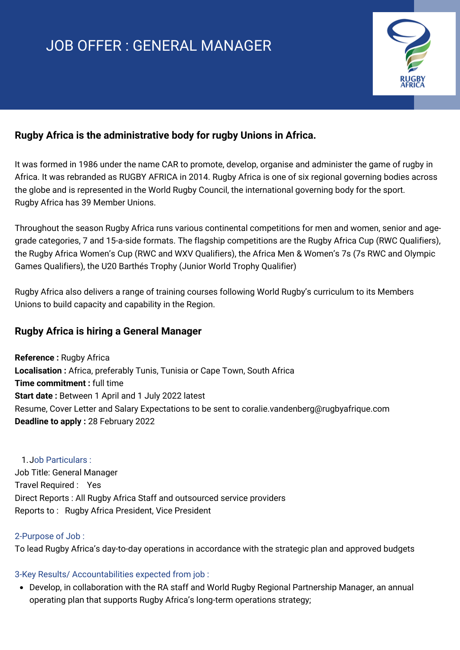# JOB OFFER : GENERAL MANAGER



## **Rugby Africa is the administrative body for rugby Unions in Africa.**

It was formed in 1986 under the name CAR to promote, develop, organise and administer the game of rugby in Africa. It was rebranded as RUGBY AFRICA in 2014. Rugby Africa is one of six regional governing bodies across the globe and is represented in the World Rugby Council, the international governing body for the sport. Rugby Africa has 39 Member Unions.

Throughout the season Rugby Africa runs various continental competitions for men and women, senior and agegrade categories, 7 and 15-a-side formats. The flagship competitions are the Rugby Africa Cup (RWC Qualifiers), the Rugby Africa Women's Cup (RWC and WXV Qualifiers), the Africa Men & Women's 7s (7s RWC and Olympic Games Qualifiers), the U20 Barthés Trophy (Junior World Trophy Qualifier)

Rugby Africa also delivers a range of training courses following World Rugby's curriculum to its Members Unions to build capacity and capability in the Region.

## **Rugby Africa is hiring a General Manager**

**Reference :** Rugby Africa **Localisation :** Africa, preferably Tunis, Tunisia or Cape Town, South Africa **Time commitment :** full time **Start date :** Between 1 April and 1 July 2022 latest Resume, Cover Letter and Salary Expectations to be sent to coralie.vandenberg@rugbyafrique.com **Deadline to apply :** 28 February 2022

#### Job Particulars : 1.

Job Title: General Manager Travel Required : Yes Direct Reports : All Rugby Africa Staff and outsourced service providers Reports to : Rugby Africa President, Vice President

#### 2-Purpose of Job :

To lead Rugby Africa's day-to-day operations in accordance with the strategic plan and approved budgets

#### 3-Key Results/ Accountabilities expected from job :

Develop, in collaboration with the RA staff and World Rugby Regional Partnership Manager, an annual operating plan that supports Rugby Africa's long-term operations strategy;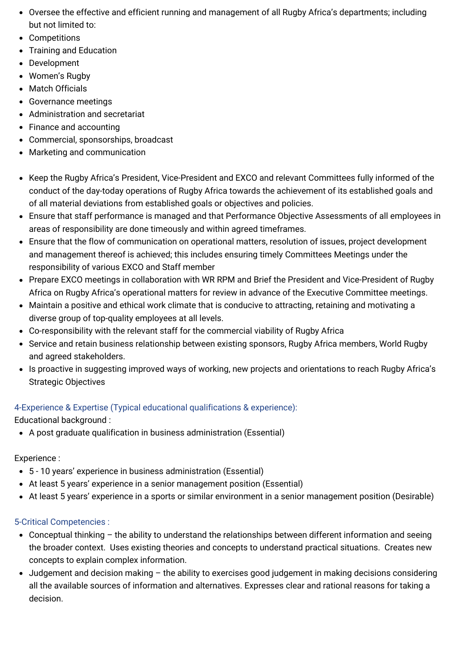- Oversee the effective and efficient running and management of all Rugby Africa's departments; including but not limited to:
- Competitions
- Training and Education
- Development
- Women's Rugby
- Match Officials
- Governance meetings
- Administration and secretariat
- Finance and accounting
- Commercial, sponsorships, broadcast
- Marketing and communication
- Keep the Rugby Africa's President, Vice-President and EXCO and relevant Committees fully informed of the conduct of the day-today operations of Rugby Africa towards the achievement of its established goals and of all material deviations from established goals or objectives and policies.
- Ensure that staff performance is managed and that Performance Objective Assessments of all employees in areas of responsibility are done timeously and within agreed timeframes.
- Ensure that the flow of communication on operational matters, resolution of issues, project development and management thereof is achieved; this includes ensuring timely Committees Meetings under the responsibility of various EXCO and Staff member
- Prepare EXCO meetings in collaboration with WR RPM and Brief the President and Vice-President of Rugby Africa on Rugby Africa's operational matters for review in advance of the Executive Committee meetings.
- Maintain a positive and ethical work climate that is conducive to attracting, retaining and motivating a diverse group of top-quality employees at all levels.
- Co-responsibility with the relevant staff for the commercial viability of Rugby Africa
- Service and retain business relationship between existing sponsors, Rugby Africa members, World Rugby and agreed stakeholders.
- Is proactive in suggesting improved ways of working, new projects and orientations to reach Rugby Africa's Strategic Objectives

# 4-Experience & Expertise (Typical educational qualifications & experience):

Educational background :

A post graduate qualification in business administration (Essential)

## Experience :

- 5 10 years' experience in business administration (Essential)
- At least 5 years' experience in a senior management position (Essential)
- At least 5 years' experience in a sports or similar environment in a senior management position (Desirable)

# 5-Critical Competencies :

- Conceptual thinking the ability to understand the relationships between different information and seeing the broader context. Uses existing theories and concepts to understand practical situations. Creates new concepts to explain complex information.
- Judgement and decision making the ability to exercises good judgement in making decisions considering all the available sources of information and alternatives. Expresses clear and rational reasons for taking a decision.